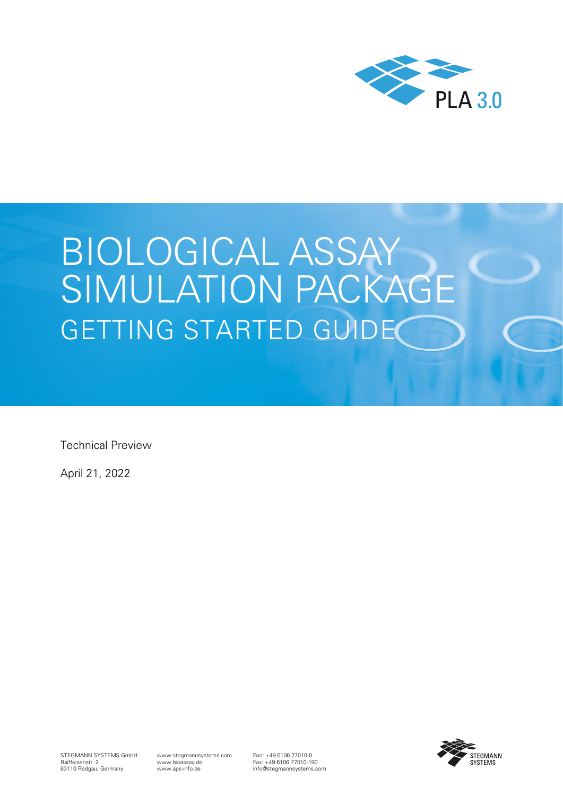

# BIOLOGICAL ASSAY SIMULATION PACKAGE GETTING STARTED GUIDE

Technical Preview

April 21, 2022



www.stegmannsystems.com www.bioassay.de www.aps-info.de

Fon: +49 6106 77010-0 Fax: +49 6106 77010-190 info@stegmannsystems.com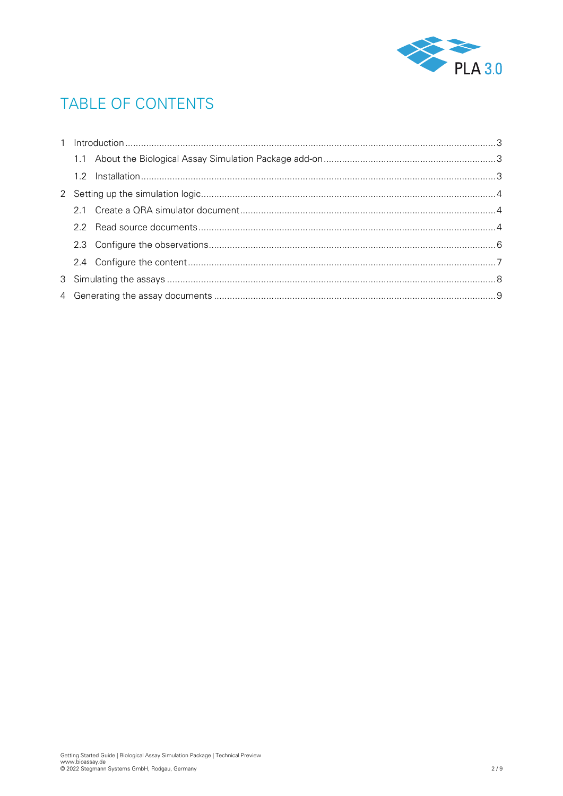

# TABLE OF CONTENTS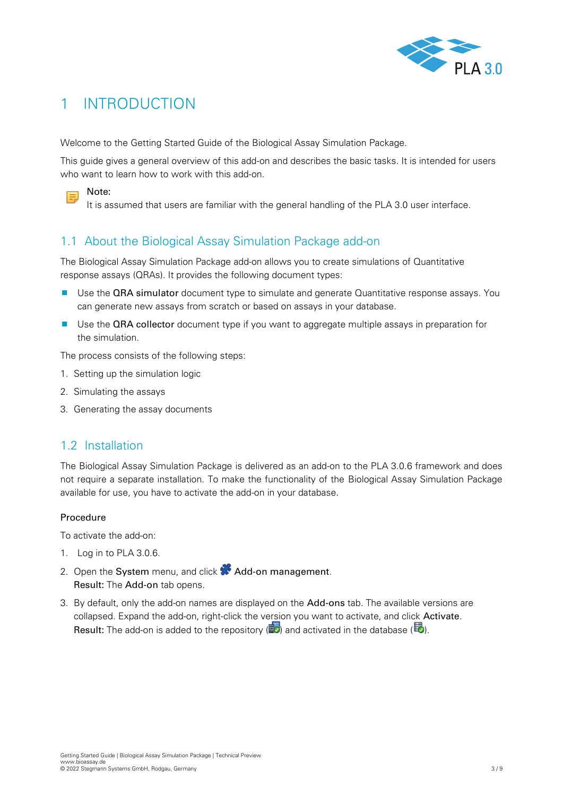

## <span id="page-2-0"></span>1 INTRODUCTION

Welcome to the Getting Started Guide of the Biological Assay Simulation Package.

This guide gives a general overview of this add-on and describes the basic tasks. It is intended for users who want to learn how to work with this add-on.



It is assumed that users are familiar with the general handling of the PLA 3.0 user interface.

## <span id="page-2-1"></span>1.1 About the Biological Assay Simulation Package add-on

The Biological Assay Simulation Package add-on allows you to create simulations of Quantitative response assays (QRAs). It provides the following document types:

- **Use the QRA simulator document type to simulate and generate Quantitative response assays. You** can generate new assays from scratch or based on assays in your database.
- Use the QRA collector document type if you want to aggregate multiple assays in preparation for the simulation.

The process consists of the following steps:

- 1. Setting up the simulation logic
- 2. Simulating the assays
- <span id="page-2-2"></span>3. Generating the assay documents

#### 1.2 Installation

The Biological Assay Simulation Package is delivered as an add-on to the PLA 3.0.6 framework and does not require a separate installation. To make the functionality of the Biological Assay Simulation Package available for use, you have to activate the add-on in your database.

#### Procedure

To activate the add-on:

- 1. Log in to PLA 3.0.6.
- 2. Open the System menu, and click **X** Add-on management. Result: The Add-on tab opens.
- 3. By default, only the add-on names are displayed on the Add-ons tab. The available versions are collapsed. Expand the add-on, right-click the version you want to activate, and click Activate. Result: The add-on is added to the repository  $\left(\mathbb{Z}\right)$  and activated in the database ( $\mathbb{Z}$ ).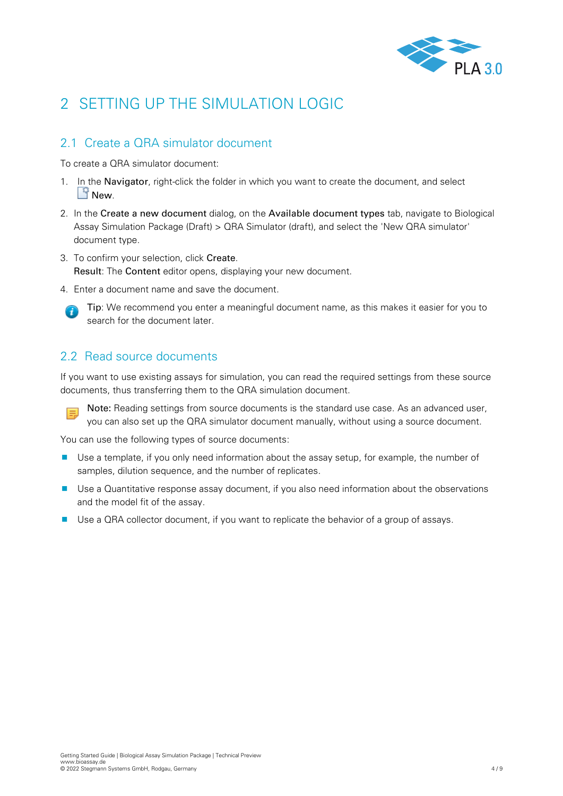

# <span id="page-3-0"></span>2 SETTING UP THE SIMULATION LOGIC

## <span id="page-3-1"></span>2.1 Create a ORA simulator document

To create a QRA simulator document:

- 1. In the Navigator, right-click the folder in which you want to create the document, and select New.
- 2. In the Create a new document dialog, on the Available document types tab, navigate to Biological Assay Simulation Package (Draft) > QRA Simulator (draft), and select the 'New QRA simulator' document type.
- 3. To confirm your selection, click Create. Result: The Content editor opens, displaying your new document.
- 4. Enter a document name and save the document.



Tip: We recommend you enter a meaningful document name, as this makes it easier for you to search for the document later.

### <span id="page-3-2"></span>2.2 Read source documents

If you want to use existing assays for simulation, you can read the required settings from these source documents, thus transferring them to the QRA simulation document.

Note: Reading settings from source documents is the standard use case. As an advanced user,  $\equiv$ you can also set up the QRA simulator document manually, without using a source document.

You can use the following types of source documents:

- **Use a template, if you only need information about the assay setup, for example, the number of** samples, dilution sequence, and the number of replicates.
- **Use a Quantitative response assay document, if you also need information about the observations** and the model fit of the assay.
- Use a QRA collector document, if you want to replicate the behavior of a group of assays.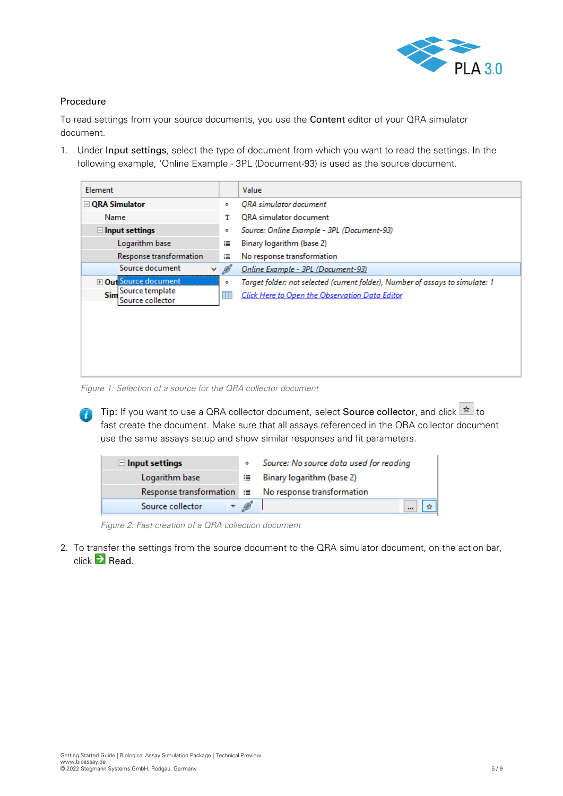

#### Procedure

To read settings from your source documents, you use the Content editor of your QRA simulator document.

1. Under Input settings, select the type of document from which you want to read the settings. In the following example, 'Online Example - 3PL (Document-93) is used as the source document.

| Element                                                                     |        | Value                                                                                                                           |  |  |  |  |  |
|-----------------------------------------------------------------------------|--------|---------------------------------------------------------------------------------------------------------------------------------|--|--|--|--|--|
| □ QRA Simulator                                                             | ۰      | <b>ORA</b> simulator document                                                                                                   |  |  |  |  |  |
| Name                                                                        | т      | ORA simulator document                                                                                                          |  |  |  |  |  |
| $\Box$ Input settings                                                       | ۰      | Source: Online Example - 3PL (Document-93)                                                                                      |  |  |  |  |  |
| Logarithm base                                                              |        | Binary logarithm (base 2)                                                                                                       |  |  |  |  |  |
| Response transformation                                                     | 這      | No response transformation                                                                                                      |  |  |  |  |  |
| Source document<br>v.                                                       | ø      | Online Example - 3PL (Document-93)                                                                                              |  |  |  |  |  |
| <b>El Out</b> Source document<br>Source template<br>Sim<br>Source collector | ۰<br>罤 | Target folder: not selected (current folder), Number of assays to simulate: 1<br>Click Here to Open the Observation Data Editor |  |  |  |  |  |

*Figure 1: Selection of a source for the QRA collector document*

Tip: If you want to use a QRA collector document, select Source collector, and click  $\frac{1}{\ast}$  to fast create the document. Make sure that all assays referenced in the QRA collector document use the same assays setup and show similar responses and fit parameters.

| $\Box$ Input settings | ۰ | Source: No source data used for reading               |
|-----------------------|---|-------------------------------------------------------|
| Logarithm base        |   | : Binary logarithm (base 2)                           |
|                       |   | Response transformation i≡ No response transformation |
| Source collector      |   |                                                       |

*Figure 2: Fast creation of a QRA collection document*

2. To transfer the settings from the source document to the QRA simulator document, on the action bar, click  $\overline{\phantom{a}}$  Read.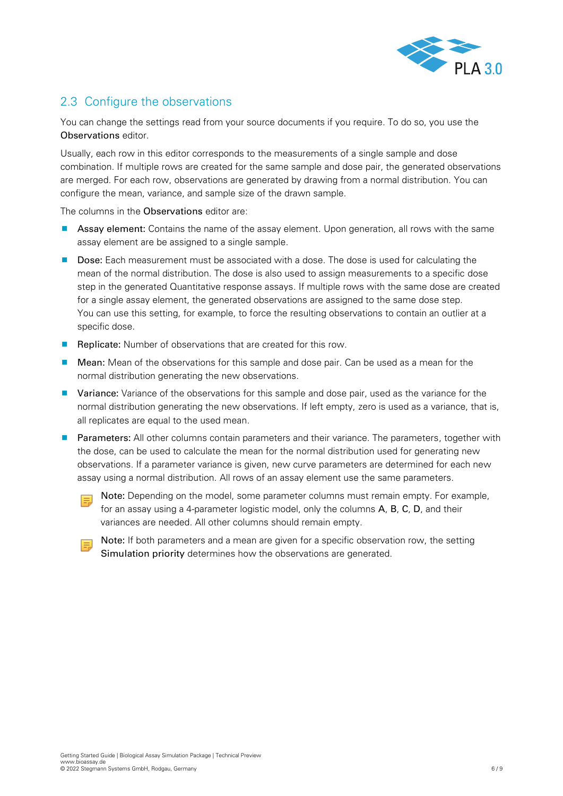

## <span id="page-5-0"></span>2.3 Configure the observations

You can change the settings read from your source documents if you require. To do so, you use the Observations editor.

Usually, each row in this editor corresponds to the measurements of a single sample and dose combination. If multiple rows are created for the same sample and dose pair, the generated observations are merged. For each row, observations are generated by drawing from a normal distribution. You can configure the mean, variance, and sample size of the drawn sample.

The columns in the Observations editor are:

- **Assay element:** Contains the name of the assay element. Upon generation, all rows with the same assay element are be assigned to a single sample.
- Dose: Each measurement must be associated with a dose. The dose is used for calculating the mean of the normal distribution. The dose is also used to assign measurements to a specific dose step in the generated Quantitative response assays. If multiple rows with the same dose are created for a single assay element, the generated observations are assigned to the same dose step. You can use this setting, for example, to force the resulting observations to contain an outlier at a specific dose.
- **Replicate:** Number of observations that are created for this row.
- **Mean:** Mean of the observations for this sample and dose pair. Can be used as a mean for the normal distribution generating the new observations.
- **U** Variance: Variance of the observations for this sample and dose pair, used as the variance for the normal distribution generating the new observations. If left empty, zero is used as a variance, that is, all replicates are equal to the used mean.
- **Parameters:** All other columns contain parameters and their variance. The parameters, together with the dose, can be used to calculate the mean for the normal distribution used for generating new observations. If a parameter variance is given, new curve parameters are determined for each new assay using a normal distribution. All rows of an assay element use the same parameters.
	- 围

Note: Depending on the model, some parameter columns must remain empty. For example, for an assay using a 4-parameter logistic model, only the columns A, B, C, D, and their variances are needed. All other columns should remain empty.

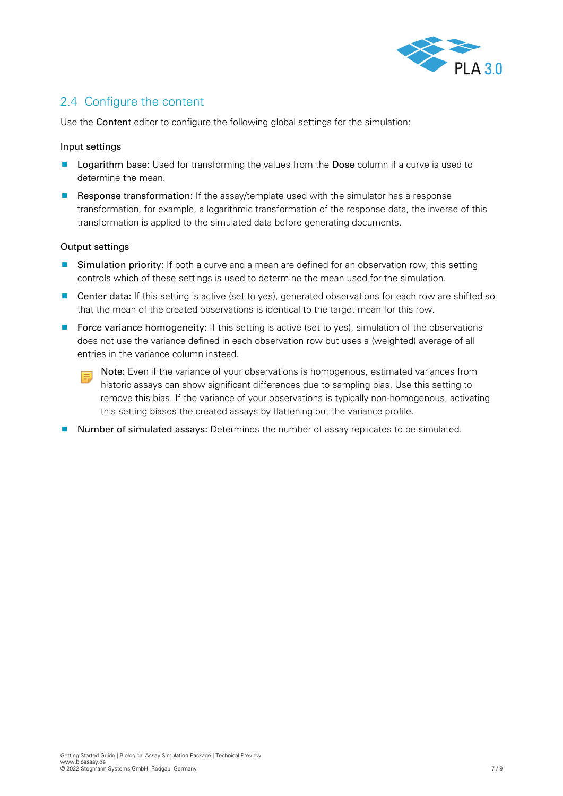

## <span id="page-6-0"></span>2.4 Configure the content

Use the Content editor to configure the following global settings for the simulation:

#### Input settings

- **Logarithm base:** Used for transforming the values from the Dose column if a curve is used to determine the mean.
- Response transformation: If the assay/template used with the simulator has a response transformation, for example, a logarithmic transformation of the response data, the inverse of this transformation is applied to the simulated data before generating documents.

#### Output settings

- **Simulation priority:** If both a curve and a mean are defined for an observation row, this setting controls which of these settings is used to determine the mean used for the simulation.
- **Center data:** If this setting is active (set to yes), generated observations for each row are shifted so that the mean of the created observations is identical to the target mean for this row.
- **Force variance homogeneity:** If this setting is active (set to yes), simulation of the observations does not use the variance defined in each observation row but uses a (weighted) average of all entries in the variance column instead.
	- Note: Even if the variance of your observations is homogenous, estimated variances from historic assays can show significant differences due to sampling bias. Use this setting to remove this bias. If the variance of your observations is typically non-homogenous, activating this setting biases the created assays by flattening out the variance profile.
- **Number of simulated assays:** Determines the number of assay replicates to be simulated.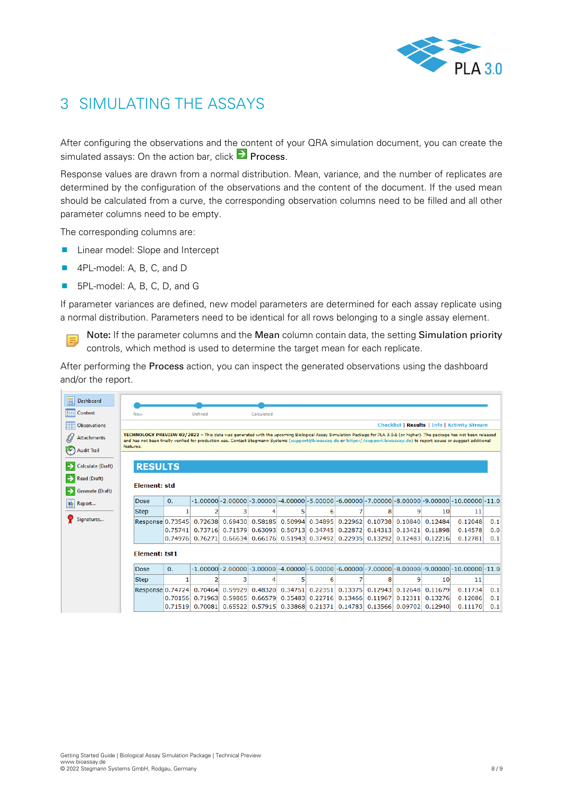

# <span id="page-7-0"></span>3 SIMULATING THE ASSAYS

After configuring the observations and the content of your QRA simulation document, you can create the simulated assays: On the action bar, click **P** Process.

Response values are drawn from a normal distribution. Mean, variance, and the number of replicates are determined by the configuration of the observations and the content of the document. If the used mean should be calculated from a curve, the corresponding observation columns need to be filled and all other parameter columns need to be empty.

The corresponding columns are:

- **Linear model: Slope and Intercept**
- 4PL-model: A, B, C, and D

買

■ 5PL-model: A, B, C, D, and G

If parameter variances are defined, new model parameters are determined for each assay replicate using a normal distribution. Parameters need to be identical for all rows belonging to a single assay element.

Note**:** If the parameter columns and the Mean column contain data, the setting Simulation priority controls, which method is used to determine the target mean for each replicate.

After performing the Process action, you can inspect the generated observations using the dashboard and/or the report.

| 嚚<br>Dashboard    |                                                                                                                                                                                                                                                                                                                                                                                                                                 |                |                |   |            |                                           |                                                     |         |                                                                 |         |         |                                                                                                                        |     |
|-------------------|---------------------------------------------------------------------------------------------------------------------------------------------------------------------------------------------------------------------------------------------------------------------------------------------------------------------------------------------------------------------------------------------------------------------------------|----------------|----------------|---|------------|-------------------------------------------|-----------------------------------------------------|---------|-----------------------------------------------------------------|---------|---------|------------------------------------------------------------------------------------------------------------------------|-----|
| Content           | New                                                                                                                                                                                                                                                                                                                                                                                                                             |                | Defined        |   | Calculated |                                           |                                                     |         |                                                                 |         |         |                                                                                                                        |     |
| m<br>Observations |                                                                                                                                                                                                                                                                                                                                                                                                                                 |                |                |   |            |                                           | <b>Checklist   Results   Info   Activity Stream</b> |         |                                                                 |         |         |                                                                                                                        |     |
| Attachments       | TECHNOLOGY PREVIEW 03/2022 - This data was generated with the upcoming Biological Assay Simulation Package for PLA 3.0.6 (or higher). The package has not been released<br>and has not been finally verified for production use. Contact Stegmann Systems (support@bioassay.de or https://support.bioassay.de) to report issues or suggest additional<br>features.<br><b>Audit Trail</b><br><b>RESULTS</b><br>Calculate (Draft) |                |                |   |            |                                           |                                                     |         |                                                                 |         |         |                                                                                                                        |     |
|                   |                                                                                                                                                                                                                                                                                                                                                                                                                                 |                |                |   |            |                                           |                                                     |         |                                                                 |         |         |                                                                                                                        |     |
|                   |                                                                                                                                                                                                                                                                                                                                                                                                                                 |                |                |   |            |                                           |                                                     |         |                                                                 |         |         |                                                                                                                        |     |
| Read (Draft)      |                                                                                                                                                                                                                                                                                                                                                                                                                                 |                |                |   |            |                                           |                                                     |         |                                                                 |         |         |                                                                                                                        |     |
| Generate (Draft)  | Element: std                                                                                                                                                                                                                                                                                                                                                                                                                    |                |                |   |            |                                           |                                                     |         |                                                                 |         |         |                                                                                                                        |     |
| <b>M</b> Report   | Dose                                                                                                                                                                                                                                                                                                                                                                                                                            | $\mathbf{0}$ . |                |   |            |                                           |                                                     |         |                                                                 |         |         | $-1.00000$ $-2.00000$ $-3.00000$ $-4.00000$ $-5.00000$ $-6.00000$ $-7.00000$ $-8.00000$ $-9.00000$ $-10.00000$ $-11.0$ |     |
|                   | <b>Step</b>                                                                                                                                                                                                                                                                                                                                                                                                                     | 1              | $\overline{2}$ | 3 | 4          | 5                                         | 6                                                   | 7       | 8                                                               | 9       | 10      | 11                                                                                                                     |     |
| Signatures        | Response 0.73545                                                                                                                                                                                                                                                                                                                                                                                                                |                | 0.72638        |   |            |                                           |                                                     |         | 0.69430 0.58185 0.50994 0.34895 0.22962 0.10738 0.10840 0.12484 |         |         | 0.12048                                                                                                                | 0.1 |
|                   |                                                                                                                                                                                                                                                                                                                                                                                                                                 | 0.75741        | 0.73716        |   |            | 0.71579 0.63093 0.50713 0.34745           |                                                     | 0.22872 | 0.14313                                                         | 0.13421 | 0.11898 | 0.14578                                                                                                                | 0.0 |
|                   |                                                                                                                                                                                                                                                                                                                                                                                                                                 | 0.74976        | 0.76271        |   |            | $0.66634$ 0.66176 0.51943 0.37492 0.22935 |                                                     |         | 0.13292                                                         | 0.12483 | 0.12216 | 0.12781                                                                                                                | 0.1 |
|                   | <b>Element: tst1</b>                                                                                                                                                                                                                                                                                                                                                                                                            |                |                |   |            |                                           |                                                     |         |                                                                 |         |         |                                                                                                                        |     |
|                   | Dose                                                                                                                                                                                                                                                                                                                                                                                                                            | $\mathbf{0}$ . |                |   |            |                                           |                                                     |         |                                                                 |         |         | $-1.00000$ $-2.00000$ $-3.00000$ $-4.00000$ $-5.00000$ $-6.00000$ $-7.00000$ $-8.00000$ $-9.00000$ $-10.00000$ $-11.0$ |     |
|                   | <b>Step</b>                                                                                                                                                                                                                                                                                                                                                                                                                     |                |                | з | 4          | 5                                         | 6                                                   | 7       | 8                                                               | 9       | 10      | 11                                                                                                                     |     |
|                   | Response 0.74724                                                                                                                                                                                                                                                                                                                                                                                                                |                | 0.70464        |   |            | 0.59929 0.48320 0.34751 0.22351           |                                                     | 0.13375 | 0.12943                                                         | 0.12648 | 0.11679 | 0.11734                                                                                                                | 0.1 |
|                   |                                                                                                                                                                                                                                                                                                                                                                                                                                 | 0.70156        | 0.71963        |   |            | 0.59865 0.66579 0.35483 0.22716 0.13466   |                                                     |         | 0.11967                                                         | 0.12311 | 0.13276 | 0.12086                                                                                                                | 0.1 |
|                   |                                                                                                                                                                                                                                                                                                                                                                                                                                 | 0.71519        | 0.70081        |   |            | 0.65522 0.57915 0.33868 0.21371           |                                                     | 0.14783 | $0.13566$ 0.09702                                               |         | 0.12940 | 0.11170                                                                                                                | 0.1 |